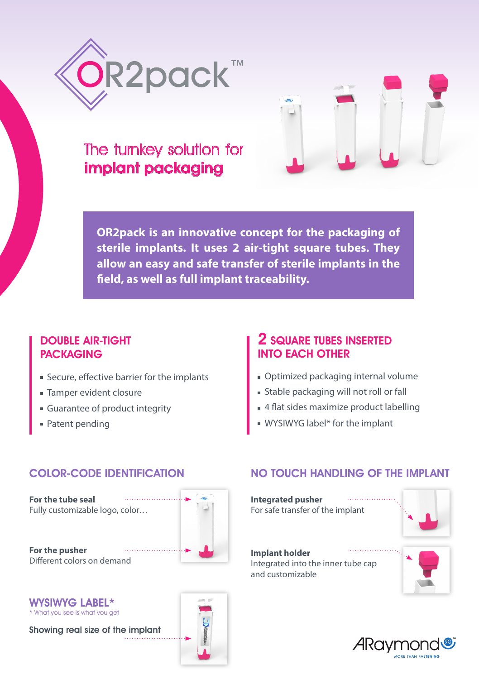



# The turnkey solution for implant packaging

**OR2pack is an innovative concept for the packaging of sterile implants. It uses 2 air-tight square tubes. They allow an easy and safe transfer of sterile implants in the field, as well as full implant traceability.** 

## DOUBLE AIR-TIGHT PACKAGING

- Secure, effective barrier for the implants
- **Tamper evident closure**
- Guarantee of product integrity
- Patent pending

# 2 SQUARE TUBES INSERTED INTO EACH OTHER

- Optimized packaging internal volume
- Stable packaging will not roll or fall
- 4 flat sides maximize product labelling
- WYSIWYG label\* for the implant

# COLOR-CODE IDENTIFICATION

**For the tube seal**  Fully customizable logo, color…



**For the pusher**  Different colors on demand



WYSIWYG LABEL\* \* What you see is what you get

Showing real size of the implant

# NO TOUCH HANDLING OF THE IMPLANT

**Integrated pusher** For safe transfer of the implant



#### **Implant holder** Integrated into the inner tube cap and customizable